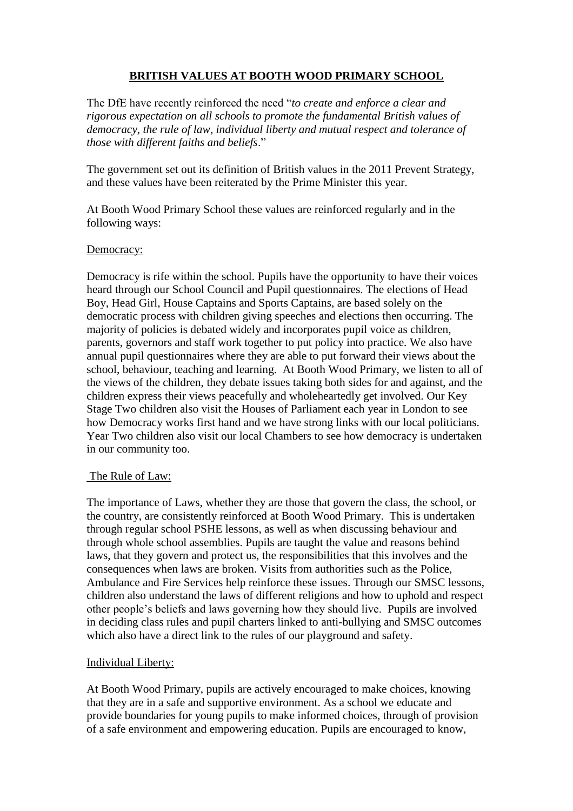# **BRITISH VALUES AT BOOTH WOOD PRIMARY SCHOOL**

The DfE have recently reinforced the need "*to create and enforce a clear and rigorous expectation on all schools to promote the fundamental British values of democracy, the rule of law, individual liberty and mutual respect and tolerance of those with different faiths and beliefs*."

The government set out its definition of British values in the 2011 Prevent Strategy, and these values have been reiterated by the Prime Minister this year.

At Booth Wood Primary School these values are reinforced regularly and in the following ways:

#### Democracy:

Democracy is rife within the school. Pupils have the opportunity to have their voices heard through our School Council and Pupil questionnaires. The elections of Head Boy, Head Girl, House Captains and Sports Captains, are based solely on the democratic process with children giving speeches and elections then occurring. The majority of policies is debated widely and incorporates pupil voice as children, parents, governors and staff work together to put policy into practice. We also have annual pupil questionnaires where they are able to put forward their views about the school, behaviour, teaching and learning. At Booth Wood Primary, we listen to all of the views of the children, they debate issues taking both sides for and against, and the children express their views peacefully and wholeheartedly get involved. Our Key Stage Two children also visit the Houses of Parliament each year in London to see how Democracy works first hand and we have strong links with our local politicians. Year Two children also visit our local Chambers to see how democracy is undertaken in our community too.

## The Rule of Law:

The importance of Laws, whether they are those that govern the class, the school, or the country, are consistently reinforced at Booth Wood Primary. This is undertaken through regular school PSHE lessons, as well as when discussing behaviour and through whole school assemblies. Pupils are taught the value and reasons behind laws, that they govern and protect us, the responsibilities that this involves and the consequences when laws are broken. Visits from authorities such as the Police, Ambulance and Fire Services help reinforce these issues. Through our SMSC lessons, children also understand the laws of different religions and how to uphold and respect other people's beliefs and laws governing how they should live. Pupils are involved in deciding class rules and pupil charters linked to anti-bullying and SMSC outcomes which also have a direct link to the rules of our playground and safety.

## Individual Liberty:

At Booth Wood Primary, pupils are actively encouraged to make choices, knowing that they are in a safe and supportive environment. As a school we educate and provide boundaries for young pupils to make informed choices, through of provision of a safe environment and empowering education. Pupils are encouraged to know,